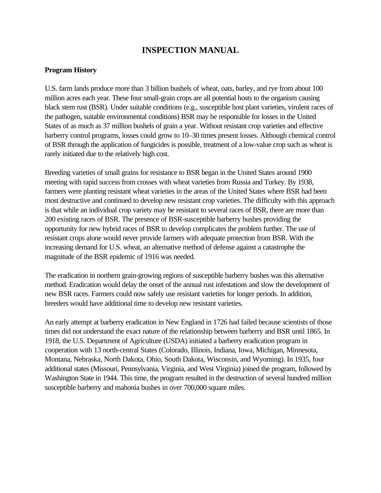# **INSPECTION MANUAL**

#### **Program History**

U.S. farm lands produce more than 3 billion bushels of wheat, oats, barley, and rye from about 100 million acres each year. These four small-grain crops are all potential hosts to the organism causing black stem rust (BSR). Under suitable conditions (e.g., susceptible host plant varieties, virulent races of the pathogen, suitable environmental conditions) BSR may be responsible for losses in the United States of as much as 37 million bushels of grain a year. Without resistant crop varieties and effective barberry control programs, losses could grow to 10–30 times present losses. Although chemical control of BSR through the application of fungicides is possible, treatment of a low-value crop such as wheat is rarely initiated due to the relatively high cost.

Breeding varieties of small grains for resistance to BSR began in the United States around 1900 meeting with rapid success from crosses with wheat varieties from Russia and Turkey. By 1938, farmers were planting resistant wheat varieties in the areas of the United States where BSR had been most destructive and continued to develop new resistant crop varieties. The difficulty with this approach is that while an individual crop variety may be resistant to several races of BSR, there are more than 200 existing races of BSR. The presence of BSR-susceptible barberry bushes providing the opportunity for new hybrid races of BSR to develop complicates the problem further. The use of resistant crops alone would never provide farmers with adequate protection from BSR. With the increasing demand for U.S. wheat, an alternative method of defense against a catastrophe the magnitude of the BSR epidemic of 1916 was needed.

The eradication in northern grain-growing regions of susceptible barberry bushes was this alternative method. Eradication would delay the onset of the annual rust infestations and slow the development of new BSR races. Farmers could now safely use resistant varieties for longer periods. In addition, breeders would have additional time to develop new resistant varieties.

An early attempt at barberry eradication in New England in 1726 had failed because scientists of those times did not understand the exact nature of the relationship between barberry and BSR until 1865. In 1918, the U.S. Department of Agriculture (USDA) initiated a barberry eradication program in cooperation with 13 north-central States (Colorado, Illinois, Indiana, Iowa, Michigan, Minnesota, Montana, Nebraska, North Dakota, Ohio, South Dakota, Wisconsin, and Wyoming). In 1935, four additional states (Missouri, Pennsylvania, Virginia, and West Virginia) joined the program, followed by Washington State in 1944. This time, the program resulted in the destruction of several hundred million susceptible barberry and mahonia bushes in over 700,000 square miles.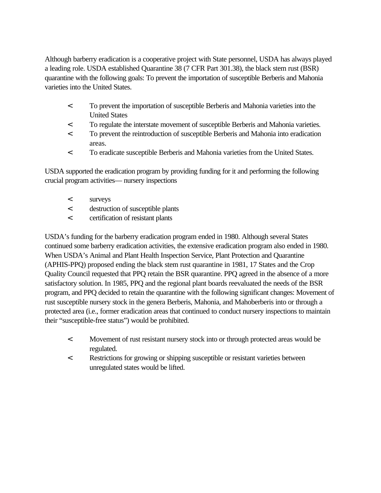Although barberry eradication is a cooperative project with State personnel, USDA has always played a leading role. USDA established Quarantine 38 (7 CFR Part 301.38), the black stem rust (BSR) quarantine with the following goals: To prevent the importation of susceptible Berberis and Mahonia varieties into the United States.

- < To prevent the importation of susceptible Berberis and Mahonia varieties into the United States
- < To regulate the interstate movement of susceptible Berberis and Mahonia varieties.
- < To prevent the reintroduction of susceptible Berberis and Mahonia into eradication areas.
- < To eradicate susceptible Berberis and Mahonia varieties from the United States.

USDA supported the eradication program by providing funding for it and performing the following crucial program activities— nursery inspections

- < surveys
- < destruction of susceptible plants
- < certification of resistant plants

USDA's funding for the barberry eradication program ended in 1980. Although several States continued some barberry eradication activities, the extensive eradication program also ended in 1980. When USDA's Animal and Plant Health Inspection Service, Plant Protection and Quarantine (APHIS-PPQ) proposed ending the black stem rust quarantine in 1981, 17 States and the Crop Quality Council requested that PPQ retain the BSR quarantine. PPQ agreed in the absence of a more satisfactory solution. In 1985, PPQ and the regional plant boards reevaluated the needs of the BSR program, and PPQ decided to retain the quarantine with the following significant changes: Movement of rust susceptible nursery stock in the genera Berberis, Mahonia, and Mahoberberis into or through a protected area (i.e., former eradication areas that continued to conduct nursery inspections to maintain their "susceptible-free status") would be prohibited.

- < Movement of rust resistant nursery stock into or through protected areas would be regulated.
- < Restrictions for growing or shipping susceptible or resistant varieties between unregulated states would be lifted.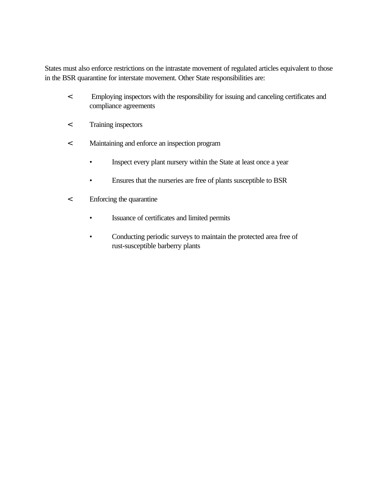States must also enforce restrictions on the intrastate movement of regulated articles equivalent to those in the BSR quarantine for interstate movement. Other State responsibilities are:

- < Employing inspectors with the responsibility for issuing and canceling certificates and compliance agreements
- < Training inspectors
- < Maintaining and enforce an inspection program
	- Inspect every plant nursery within the State at least once a year
	- Ensures that the nurseries are free of plants susceptible to BSR
- < Enforcing the quarantine
	- Issuance of certificates and limited permits
	- Conducting periodic surveys to maintain the protected area free of rust-susceptible barberry plants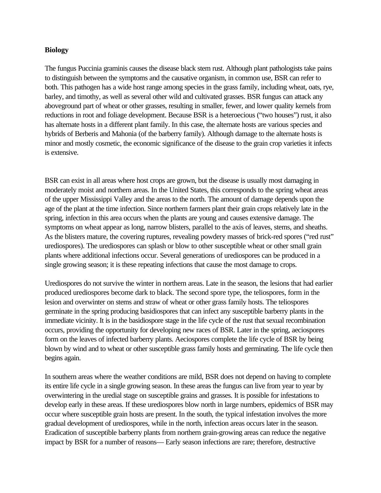#### **Biology**

The fungus Puccinia graminis causes the disease black stem rust. Although plant pathologists take pains to distinguish between the symptoms and the causative organism, in common use, BSR can refer to both. This pathogen has a wide host range among species in the grass family, including wheat, oats, rye, barley, and timothy, as well as several other wild and cultivated grasses. BSR fungus can attack any aboveground part of wheat or other grasses, resulting in smaller, fewer, and lower quality kernels from reductions in root and foliage development. Because BSR is a heteroecious ("two houses") rust, it also has alternate hosts in a different plant family. In this case, the alternate hosts are various species and hybrids of Berberis and Mahonia (of the barberry family). Although damage to the alternate hosts is minor and mostly cosmetic, the economic significance of the disease to the grain crop varieties it infects is extensive.

BSR can exist in all areas where host crops are grown, but the disease is usually most damaging in moderately moist and northern areas. In the United States, this corresponds to the spring wheat areas of the upper Mississippi Valley and the areas to the north. The amount of damage depends upon the age of the plant at the time infection. Since northern farmers plant their grain crops relatively late in the spring, infection in this area occurs when the plants are young and causes extensive damage. The symptoms on wheat appear as long, narrow blisters, parallel to the axis of leaves, stems, and sheaths. As the blisters mature, the covering ruptures, revealing powdery masses of brick-red spores ("red rust" urediospores). The urediospores can splash or blow to other susceptible wheat or other small grain plants where additional infections occur. Several generations of urediospores can be produced in a single growing season; it is these repeating infections that cause the most damage to crops.

Urediospores do not survive the winter in northern areas. Late in the season, the lesions that had earlier produced urediospores become dark to black. The second spore type, the teliospores, form in the lesion and overwinter on stems and straw of wheat or other grass family hosts. The teliospores germinate in the spring producing basidiospores that can infect any susceptible barberry plants in the immediate vicinity. It is in the basidiospore stage in the life cycle of the rust that sexual recombination occurs, providing the opportunity for developing new races of BSR. Later in the spring, aeciospores form on the leaves of infected barberry plants. Aeciospores complete the life cycle of BSR by being blown by wind and to wheat or other susceptible grass family hosts and germinating. The life cycle then begins again.

In southern areas where the weather conditions are mild, BSR does not depend on having to complete its entire life cycle in a single growing season. In these areas the fungus can live from year to year by overwintering in the uredial stage on susceptible grains and grasses. It is possible for infestations to develop early in these areas. If these urediospores blow north in large numbers, epidemics of BSR may occur where susceptible grain hosts are present. In the south, the typical infestation involves the more gradual development of urediospores, while in the north, infection areas occurs later in the season. Eradication of susceptible barberry plants from northern grain-growing areas can reduce the negative impact by BSR for a number of reasons— Early season infections are rare; therefore, destructive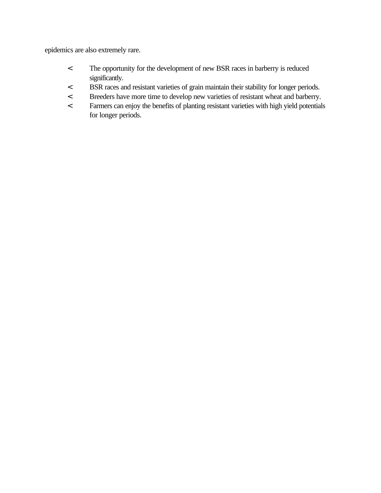epidemics are also extremely rare.

- < The opportunity for the development of new BSR races in barberry is reduced significantly.
- < BSR races and resistant varieties of grain maintain their stability for longer periods.
- < Breeders have more time to develop new varieties of resistant wheat and barberry.
- < Farmers can enjoy the benefits of planting resistant varieties with high yield potentials for longer periods.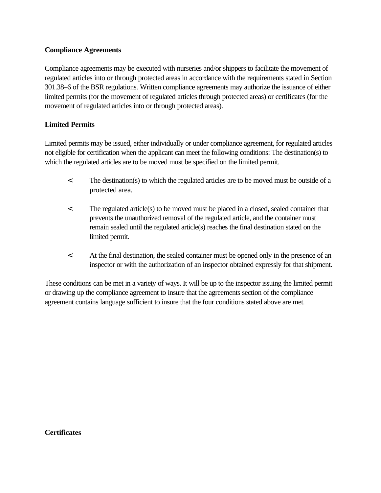## **Compliance Agreements**

Compliance agreements may be executed with nurseries and/or shippers to facilitate the movement of regulated articles into or through protected areas in accordance with the requirements stated in Section 301.38–6 of the BSR regulations. Written compliance agreements may authorize the issuance of either limited permits (for the movement of regulated articles through protected areas) or certificates (for the movement of regulated articles into or through protected areas).

## **Limited Permits**

Limited permits may be issued, either individually or under compliance agreement, for regulated articles not eligible for certification when the applicant can meet the following conditions: The destination(s) to which the regulated articles are to be moved must be specified on the limited permit.

- < The destination(s) to which the regulated articles are to be moved must be outside of a protected area.
- < The regulated article(s) to be moved must be placed in a closed, sealed container that prevents the unauthorized removal of the regulated article, and the container must remain sealed until the regulated article(s) reaches the final destination stated on the limited permit.
- < At the final destination, the sealed container must be opened only in the presence of an inspector or with the authorization of an inspector obtained expressly for that shipment.

These conditions can be met in a variety of ways. It will be up to the inspector issuing the limited permit or drawing up the compliance agreement to insure that the agreements section of the compliance agreement contains language sufficient to insure that the four conditions stated above are met.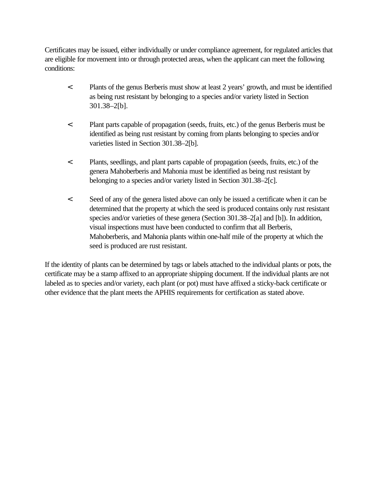Certificates may be issued, either individually or under compliance agreement, for regulated articles that are eligible for movement into or through protected areas, when the applicant can meet the following conditions:

- < Plants of the genus Berberis must show at least 2 years' growth, and must be identified as being rust resistant by belonging to a species and/or variety listed in Section 301.38–2[b].
- < Plant parts capable of propagation (seeds, fruits, etc.) of the genus Berberis must be identified as being rust resistant by coming from plants belonging to species and/or varieties listed in Section 301.38–2[b].
- < Plants, seedlings, and plant parts capable of propagation (seeds, fruits, etc.) of the genera Mahoberberis and Mahonia must be identified as being rust resistant by belonging to a species and/or variety listed in Section 301.38–2[c].
- < Seed of any of the genera listed above can only be issued a certificate when it can be determined that the property at which the seed is produced contains only rust resistant species and/or varieties of these genera (Section 301.38–2[a] and [b]). In addition, visual inspections must have been conducted to confirm that all Berberis, Mahoberberis, and Mahonia plants within one-half mile of the property at which the seed is produced are rust resistant.

If the identity of plants can be determined by tags or labels attached to the individual plants or pots, the certificate may be a stamp affixed to an appropriate shipping document. If the individual plants are not labeled as to species and/or variety, each plant (or pot) must have affixed a sticky-back certificate or other evidence that the plant meets the APHIS requirements for certification as stated above.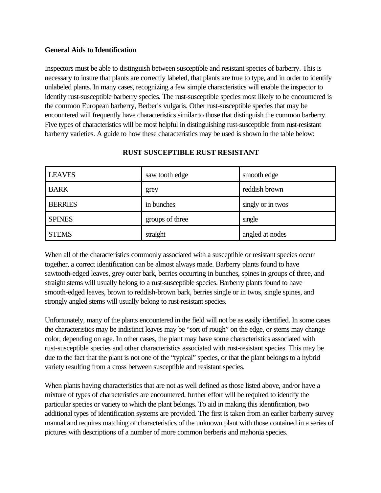## **General Aids to Identification**

Inspectors must be able to distinguish between susceptible and resistant species of barberry. This is necessary to insure that plants are correctly labeled, that plants are true to type, and in order to identify unlabeled plants. In many cases, recognizing a few simple characteristics will enable the inspector to identify rust-susceptible barberry species. The rust-susceptible species most likely to be encountered is the common European barberry, Berberis vulgaris. Other rust-susceptible species that may be encountered will frequently have characteristics similar to those that distinguish the common barberry. Five types of characteristics will be most helpful in distinguishing rust-susceptible from rust-resistant barberry varieties. A guide to how these characteristics may be used is shown in the table below:

| <b>LEAVES</b>  | saw tooth edge  | smooth edge       |
|----------------|-----------------|-------------------|
| <b>BARK</b>    | grey            | reddish brown     |
| <b>BERRIES</b> | in bunches      | singly or in twos |
| <b>SPINES</b>  | groups of three | single            |
| <b>STEMS</b>   | straight        | angled at nodes   |

#### **RUST SUSCEPTIBLE RUST RESISTANT**

When all of the characteristics commonly associated with a susceptible or resistant species occur together, a correct identification can be almost always made. Barberry plants found to have sawtooth-edged leaves, grey outer bark, berries occurring in bunches, spines in groups of three, and straight stems will usually belong to a rust-susceptible species. Barberry plants found to have smooth-edged leaves, brown to reddish-brown bark, berries single or in twos, single spines, and strongly angled stems will usually belong to rust-resistant species.

Unfortunately, many of the plants encountered in the field will not be as easily identified. In some cases the characteristics may be indistinct leaves may be "sort of rough" on the edge, or stems may change color, depending on age. In other cases, the plant may have some characteristics associated with rust-susceptible species and other characteristics associated with rust-resistant species. This may be due to the fact that the plant is not one of the "typical" species, or that the plant belongs to a hybrid variety resulting from a cross between susceptible and resistant species.

When plants having characteristics that are not as well defined as those listed above, and/or have a mixture of types of characteristics are encountered, further effort will be required to identify the particular species or variety to which the plant belongs. To aid in making this identification, two additional types of identification systems are provided. The first is taken from an earlier barberry survey manual and requires matching of characteristics of the unknown plant with those contained in a series of pictures with descriptions of a number of more common berberis and mahonia species.